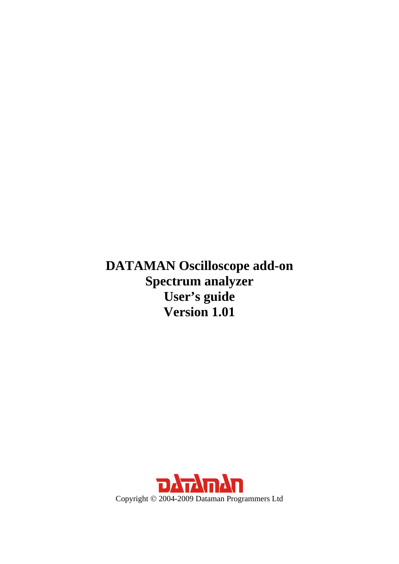**DATAMAN Oscilloscope add-on Spectrum analyzer User's guide Version 1.01** 

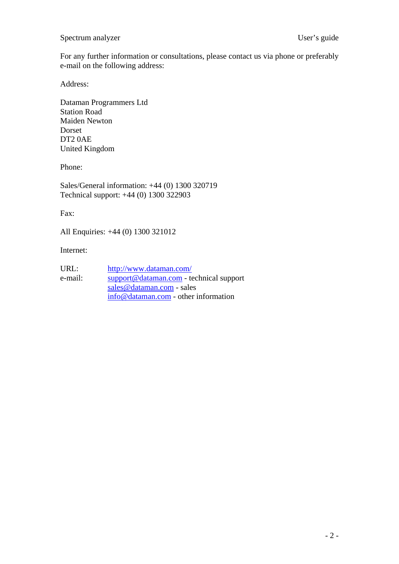#### Spectrum analyzer User's guide

For any further information or consultations, please contact us via phone or preferably e-mail on the following address:

Address:

Dataman Programmers Ltd Station Road Maiden Newton Dorset DT2 0AE United Kingdom

Phone:

Sales/General information: +44 (0) 1300 320719 Technical support: +44 (0) 1300 322903

Fax:

All Enquiries: +44 (0) 1300 321012

Internet:

| URL:    | http://www.dataman.com/                  |
|---------|------------------------------------------|
| e-mail: | support@dataman.com - technical support  |
|         | sales@dataman.com - sales                |
|         | $info@d$ dataman.com - other information |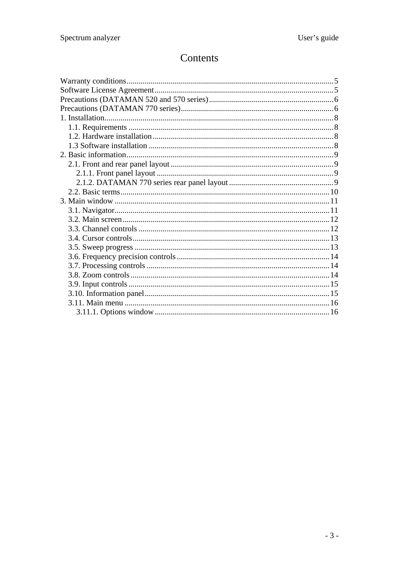# Contents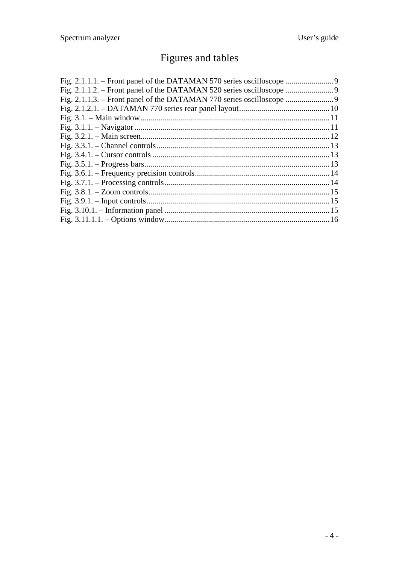# Figures and tables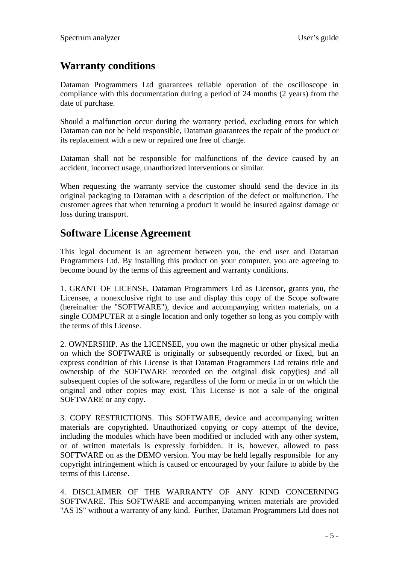# <span id="page-4-0"></span>**Warranty conditions**

Dataman Programmers Ltd guarantees reliable operation of the oscilloscope in compliance with this documentation during a period of 24 months (2 years) from the date of purchase.

Should a malfunction occur during the warranty period, excluding errors for which Dataman can not be held responsible, Dataman guarantees the repair of the product or its replacement with a new or repaired one free of charge.

Dataman shall not be responsible for malfunctions of the device caused by an accident, incorrect usage, unauthorized interventions or similar.

When requesting the warranty service the customer should send the device in its original packaging to Dataman with a description of the defect or malfunction. The customer agrees that when returning a product it would be insured against damage or loss during transport.

# **Software License Agreement**

This legal document is an agreement between you, the end user and Dataman Programmers Ltd. By installing this product on your computer, you are agreeing to become bound by the terms of this agreement and warranty conditions.

1. GRANT OF LICENSE. Dataman Programmers Ltd as Licensor, grants you, the Licensee, a nonexclusive right to use and display this copy of the Scope software (hereinafter the "SOFTWARE"), device and accompanying written materials, on a single COMPUTER at a single location and only together so long as you comply with the terms of this License.

2. OWNERSHIP. As the LICENSEE, you own the magnetic or other physical media on which the SOFTWARE is originally or subsequently recorded or fixed, but an express condition of this License is that Dataman Programmers Ltd retains title and ownership of the SOFTWARE recorded on the original disk copy(ies) and all subsequent copies of the software, regardless of the form or media in or on which the original and other copies may exist. This License is not a sale of the original SOFTWARE or any copy.

3. COPY RESTRICTIONS. This SOFTWARE, device and accompanying written materials are copyrighted. Unauthorized copying or copy attempt of the device, including the modules which have been modified or included with any other system, or of written materials is expressly forbidden. It is, however, allowed to pass SOFTWARE on as the DEMO version. You may be held legally responsible for any copyright infringement which is caused or encouraged by your failure to abide by the terms of this License.

4. DISCLAIMER OF THE WARRANTY OF ANY KIND CONCERNING SOFTWARE. This SOFTWARE and accompanying written materials are provided "AS IS" without a warranty of any kind. Further, Dataman Programmers Ltd does not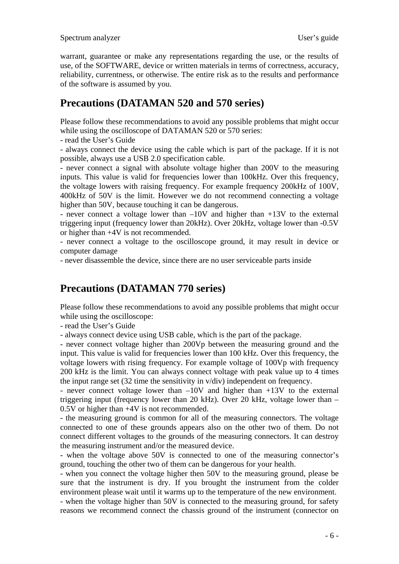<span id="page-5-0"></span>warrant, guarantee or make any representations regarding the use, or the results of use, of the SOFTWARE, device or written materials in terms of correctness, accuracy, reliability, currentness, or otherwise. The entire risk as to the results and performance of the software is assumed by you.

# **Precautions (DATAMAN 520 and 570 series)**

Please follow these recommendations to avoid any possible problems that might occur while using the oscilloscope of DATAMAN 520 or 570 series:

- read the User's Guide

- always connect the device using the cable which is part of the package. If it is not possible, always use a USB 2.0 specification cable.

- never connect a signal with absolute voltage higher than 200V to the measuring inputs. This value is valid for frequencies lower than 100kHz. Over this frequency, the voltage lowers with raising frequency. For example frequency 200kHz of 100V, 400kHz of 50V is the limit. However we do not recommend connecting a voltage higher than 50V, because touching it can be dangerous.

- never connect a voltage lower than –10V and higher than +13V to the external triggering input (frequency lower than 20kHz). Over 20kHz, voltage lower than -0.5V or higher than +4V is not recommended.

- never connect a voltage to the oscilloscope ground, it may result in device or computer damage

- never disassemble the device, since there are no user serviceable parts inside

# **Precautions (DATAMAN 770 series)**

Please follow these recommendations to avoid any possible problems that might occur while using the oscilloscope:

- read the User's Guide

- always connect device using USB cable, which is the part of the package.

- never connect voltage higher than 200Vp between the measuring ground and the input. This value is valid for frequencies lower than 100 kHz. Over this frequency, the voltage lowers with rising frequency. For example voltage of 100Vp with frequency 200 kHz is the limit. You can always connect voltage with peak value up to 4 times the input range set (32 time the sensitivity in v/div) independent on frequency.

- never connect voltage lower than –10V and higher than +13V to the external triggering input (frequency lower than 20 kHz). Over 20 kHz, voltage lower than – 0.5V or higher than +4V is not recommended.

- the measuring ground is common for all of the measuring connectors. The voltage connected to one of these grounds appears also on the other two of them. Do not connect different voltages to the grounds of the measuring connectors. It can destroy the measuring instrument and/or the measured device.

- when the voltage above 50V is connected to one of the measuring connector's ground, touching the other two of them can be dangerous for your health.

- when you connect the voltage higher then 50V to the measuring ground, please be sure that the instrument is dry. If you brought the instrument from the colder environment please wait until it warms up to the temperature of the new environment. - when the voltage higher than 50V is connected to the measuring ground, for safety reasons we recommend connect the chassis ground of the instrument (connector on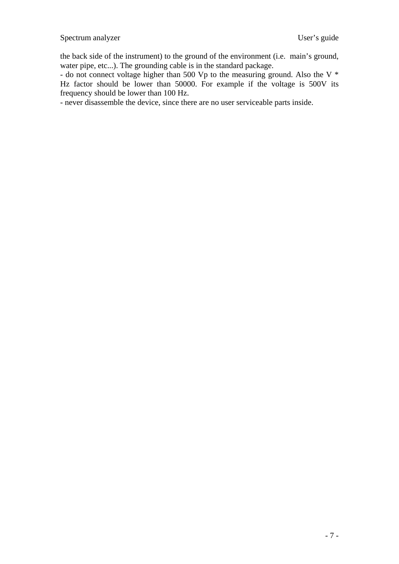the back side of the instrument) to the ground of the environment (i.e. main's ground, water pipe, etc...). The grounding cable is in the standard package.

- do not connect voltage higher than 500 Vp to the measuring ground. Also the V  $*$ Hz factor should be lower than 50000. For example if the voltage is 500V its frequency should be lower than 100 Hz.

- never disassemble the device, since there are no user serviceable parts inside.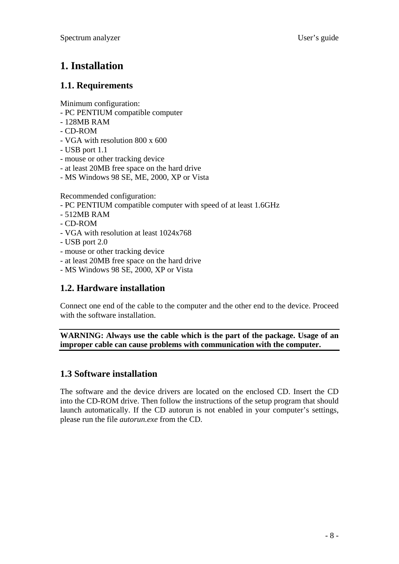# <span id="page-7-0"></span>**1. Installation**

### **1.1. Requirements**

Minimum configuration:

- PC PENTIUM compatible computer
- 128MB RAM
- CD-ROM
- VGA with resolution 800 x 600
- USB port 1.1
- mouse or other tracking device
- at least 20MB free space on the hard drive
- MS Windows 98 SE, ME, 2000, XP or Vista

Recommended configuration:

- PC PENTIUM compatible computer with speed of at least 1.6GHz
- 512MB RAM
- CD-ROM
- VGA with resolution at least 1024x768
- USB port 2.0
- mouse or other tracking device
- at least 20MB free space on the hard drive
- MS Windows 98 SE, 2000, XP or Vista

# **1.2. Hardware installation**

Connect one end of the cable to the computer and the other end to the device. Proceed with the software installation.

**WARNING: Always use the cable which is the part of the package. Usage of an improper cable can cause problems with communication with the computer.** 

# **1.3 Software installation**

The software and the device drivers are located on the enclosed CD. Insert the CD into the CD-ROM drive. Then follow the instructions of the setup program that should launch automatically. If the CD autorun is not enabled in your computer's settings, please run the file *autorun.exe* from the CD.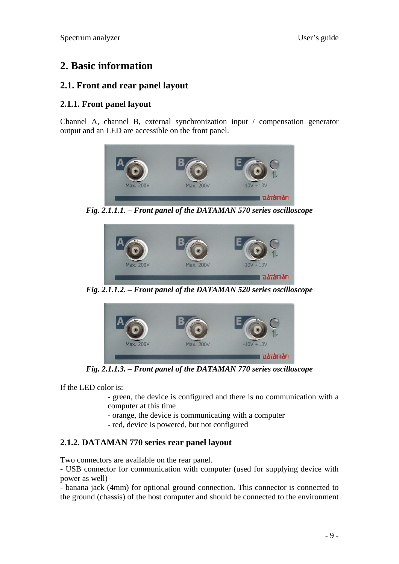# <span id="page-8-0"></span>**2. Basic information**

### **2.1. Front and rear panel layout**

### **2.1.1. Front panel layout**

Channel A, channel B, external synchronization input / compensation generator output and an LED are accessible on the front panel.



*Fig. 2.1.1.1. – Front panel of the DATAMAN 570 series oscilloscope* 



*Fig. 2.1.1.2. – Front panel of the DATAMAN 520 series oscilloscope* 



*Fig. 2.1.1.3. – Front panel of the DATAMAN 770 series oscilloscope* 

If the LED color is:

- green, the device is configured and there is no communication with a computer at this time
- orange, the device is communicating with a computer
- red, device is powered, but not configured

### **2.1.2. DATAMAN 770 series rear panel layout**

Two connectors are available on the rear panel.

- USB connector for communication with computer (used for supplying device with power as well)

- banana jack (4mm) for optional ground connection. This connector is connected to the ground (chassis) of the host computer and should be connected to the environment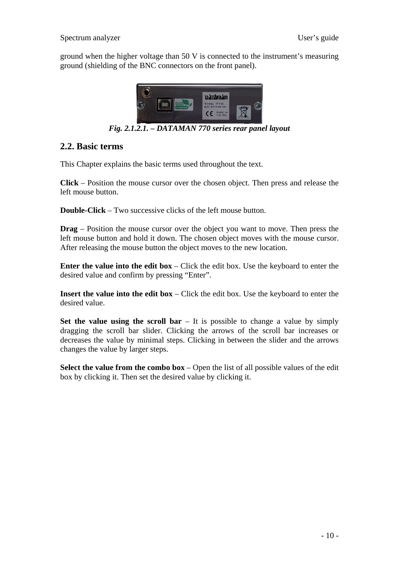<span id="page-9-0"></span>ground when the higher voltage than 50 V is connected to the instrument's measuring ground (shielding of the BNC connectors on the front panel).



*Fig. 2.1.2.1. – DATAMAN 770 series rear panel layout* 

#### **2.2. Basic terms**

This Chapter explains the basic terms used throughout the text.

**Click** – Position the mouse cursor over the chosen object. Then press and release the left mouse button.

**Double-Click** – Two successive clicks of the left mouse button.

**Drag** – Position the mouse cursor over the object you want to move. Then press the left mouse button and hold it down. The chosen object moves with the mouse cursor. After releasing the mouse button the object moves to the new location.

**Enter the value into the edit box** – Click the edit box. Use the keyboard to enter the desired value and confirm by pressing "Enter".

**Insert the value into the edit box** – Click the edit box. Use the keyboard to enter the desired value.

**Set the value using the scroll bar** – It is possible to change a value by simply dragging the scroll bar slider. Clicking the arrows of the scroll bar increases or decreases the value by minimal steps. Clicking in between the slider and the arrows changes the value by larger steps.

**Select the value from the combo box** – Open the list of all possible values of the edit box by clicking it. Then set the desired value by clicking it.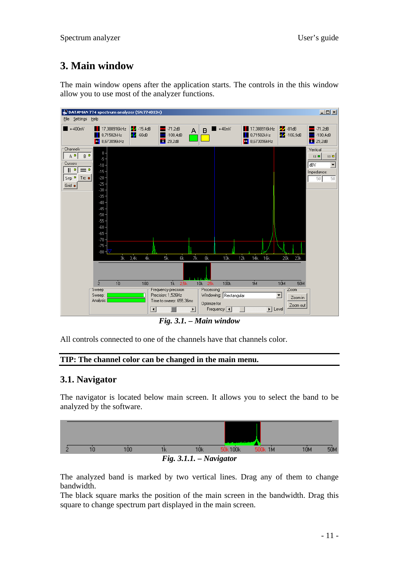# <span id="page-10-0"></span>**3. Main window**

The main window opens after the application starts. The controls in the this window allow you to use most of the analyzer functions.



*Fig. 3.1. – Main window* 

All controls connected to one of the channels have that channels color.

#### **TIP: The channel color can be changed in the main menu.**

#### **3.1. Navigator**

The navigator is located below main screen. It allows you to select the band to be analyzed by the software.



The analyzed band is marked by two vertical lines. Drag any of them to change bandwidth.

The black square marks the position of the main screen in the bandwidth. Drag this square to change spectrum part displayed in the main screen.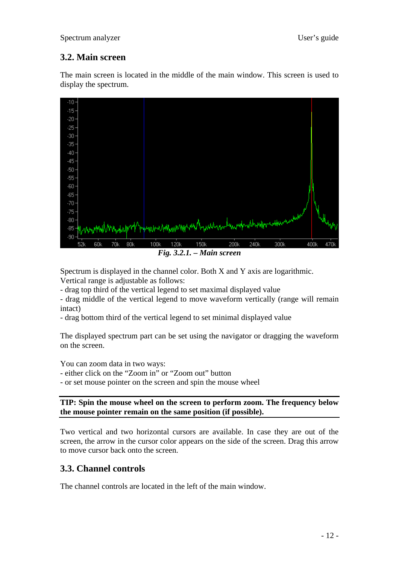### <span id="page-11-0"></span>**3.2. Main screen**

The main screen is located in the middle of the main window. This screen is used to display the spectrum.



Spectrum is displayed in the channel color. Both X and Y axis are logarithmic. Vertical range is adjustable as follows:

- drag top third of the vertical legend to set maximal displayed value

- drag middle of the vertical legend to move waveform vertically (range will remain intact)

- drag bottom third of the vertical legend to set minimal displayed value

The displayed spectrum part can be set using the navigator or dragging the waveform on the screen.

You can zoom data in two ways:

- either click on the "Zoom in" or "Zoom out" button

- or set mouse pointer on the screen and spin the mouse wheel

**TIP: Spin the mouse wheel on the screen to perform zoom. The frequency below the mouse pointer remain on the same position (if possible).** 

Two vertical and two horizontal cursors are available. In case they are out of the screen, the arrow in the cursor color appears on the side of the screen. Drag this arrow to move cursor back onto the screen.

### **3.3. Channel controls**

The channel controls are located in the left of the main window.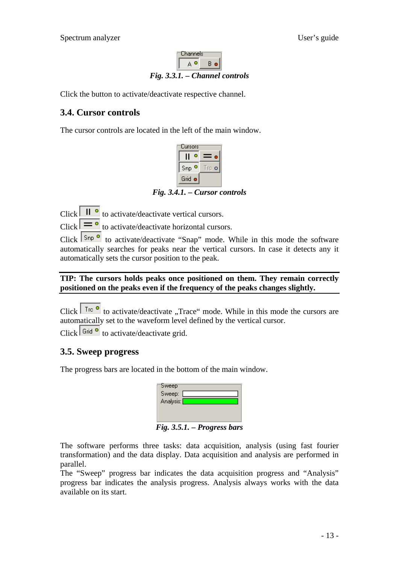

<span id="page-12-0"></span>Click the button to activate/deactivate respective channel.

#### **3.4. Cursor controls**

The cursor controls are located in the left of the main window.



*Fig. 3.4.1. – Cursor controls* 

Click  $\boxed{\Vert \bullet}$  to activate/deactivate vertical cursors.

Click  $\overline{\phantom{a}}$  to activate/deactivate horizontal cursors.

Click  $\sqrt{\frac{5np}{n}}$  to activate/deactivate "Snap" mode. While in this mode the software automatically searches for peaks near the vertical cursors. In case it detects any it automatically sets the cursor position to the peak.

#### **TIP: The cursors holds peaks once positioned on them. They remain correctly positioned on the peaks even if the frequency of the peaks changes slightly.**

Click  $\sqrt{\frac{\text{Tr}e}{\text{cot}}}$  to activate/deactivate "Trace" mode. While in this mode the cursors are automatically set to the waveform level defined by the vertical cursor.

Click  $\int$  Grid  $\sigma$  to activate/deactivate grid.

### **3.5. Sweep progress**

The progress bars are located in the bottom of the main window.

| Sweep                    |  |
|--------------------------|--|
| Sweep:                   |  |
| Analysis: <mark>[</mark> |  |
|                          |  |
|                          |  |
| • ⊤                      |  |

*Fig. 3.5.1. – Progress bars* 

The software performs three tasks: data acquisition, analysis (using fast fourier transformation) and the data display. Data acquisition and analysis are performed in parallel.

The "Sweep" progress bar indicates the data acquisition progress and "Analysis" progress bar indicates the analysis progress. Analysis always works with the data available on its start.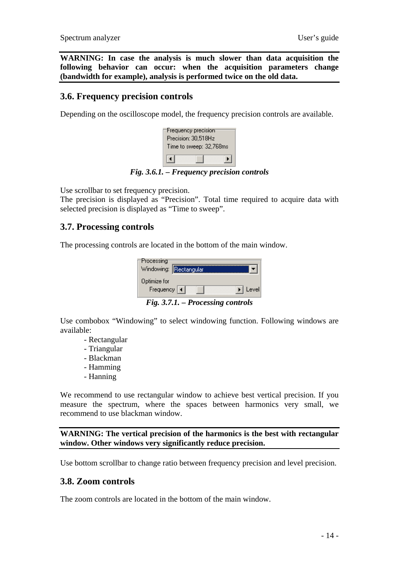<span id="page-13-0"></span>**WARNING: In case the analysis is much slower than data acquisition the following behavior can occur: when the acquisition parameters change (bandwidth for example), analysis is performed twice on the old data.** 

#### **3.6. Frequency precision controls**

Depending on the oscilloscope model, the frequency precision controls are available.

| Frequency precision     |
|-------------------------|
| Precision: 30,518Hz     |
| Time to sweep: 32,768ms |
|                         |

*Fig. 3.6.1. – Frequency precision controls* 

Use scrollbar to set frequency precision.

The precision is displayed as "Precision". Total time required to acquire data with selected precision is displayed as "Time to sweep".

#### **3.7. Processing controls**

The processing controls are located in the bottom of the main window.

| Processing                  | Windowing: Rectangular |       |
|-----------------------------|------------------------|-------|
| Optimize for<br>Frequency 4 |                        | Level |
|                             |                        |       |

*Fig. 3.7.1. – Processing controls* 

Use combobox "Windowing" to select windowing function. Following windows are available:

- Rectangular
- Triangular
- Blackman
- Hamming
- Hanning

We recommend to use rectangular window to achieve best vertical precision. If you measure the spectrum, where the spaces between harmonics very small, we recommend to use blackman window.

**WARNING: The vertical precision of the harmonics is the best with rectangular window. Other windows very significantly reduce precision.** 

Use bottom scrollbar to change ratio between frequency precision and level precision.

#### **3.8. Zoom controls**

The zoom controls are located in the bottom of the main window.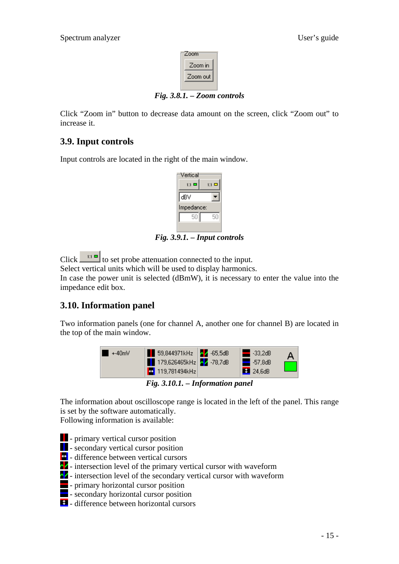

*Fig. 3.8.1. – Zoom controls* 

<span id="page-14-0"></span>Click "Zoom in" button to decrease data amount on the screen, click "Zoom out" to increase it.

# **3.9. Input controls**

Input controls are located in the right of the main window.

| Vertical     |              |
|--------------|--------------|
| $1:1$ $\Box$ | $1:1$ $\Box$ |
| dBV          |              |
| Impedance:   |              |
| 50           | 50           |
|              |              |

*Fig. 3.9.1. – Input controls* 

Click  $\boxed{\text{at } \blacksquare}$  to set probe attenuation connected to the input. Select vertical units which will be used to display harmonics. In case the power unit is selected (dBmW), it is necessary to enter the value into the impedance edit box.

# **3.10. Information panel**

Two information panels (one for channel A, another one for channel B) are located in the top of the main window.



*Fig. 3.10.1. – Information panel* 

The information about oscilloscope range is located in the left of the panel. This range is set by the software automatically.

Following information is available:

- **-** primary vertical cursor position
- **EXECUTE:** secondary vertical cursor position
- $\bullet$  difference between vertical cursors
- $\Delta$  intersection level of the primary vertical cursor with waveform
- $\lambda$  intersection level of the secondary vertical cursor with waveform
- primary horizontal cursor position
- $\blacksquare$  secondary horizontal cursor position
- $\bullet$  difference between horizontal cursors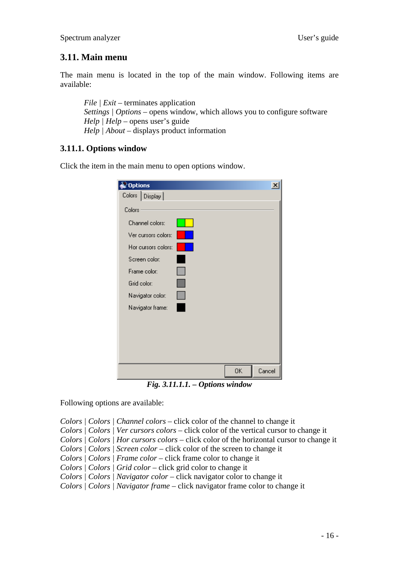# <span id="page-15-0"></span>**3.11. Main menu**

The main menu is located in the top of the main window. Following items are available:

*File | Exit* – terminates application *Settings | Options* – opens window, which allows you to configure software *Help | Help* – opens user's guide *Help | About – displays product information* 

### **3.11.1. Options window**

Click the item in the main menu to open options window.

| $\gtrsim$ Options   |    |        |
|---------------------|----|--------|
| Colors   Display    |    |        |
| Colors              |    |        |
| Channel colors:     |    |        |
| Ver cursors colors: |    |        |
| Hor cursors colors: |    |        |
| Screen color:       |    |        |
| Frame color:        |    |        |
| Grid color:         |    |        |
| Navigator color:    |    |        |
| Navigator frame:    |    |        |
|                     |    |        |
|                     |    |        |
|                     |    |        |
|                     |    |        |
|                     | 0K | Cancel |

*Fig. 3.11.1.1. – Options window* 

Following options are available:

*Colors | Colors | Channel colors* – click color of the channel to change it *Colors | Colors | Ver cursors colors* – click color of the vertical cursor to change it *Colors | Colors | Hor cursors colors* – click color of the horizontal cursor to change it *Colors | Colors | Screen color* – click color of the screen to change it *Colors | Colors | Frame color* – click frame color to change it *Colors | Colors | Grid color* – click grid color to change it *Colors | Colors | Navigator color* – click navigator color to change it *Colors | Colors | Navigator frame* – click navigator frame color to change it